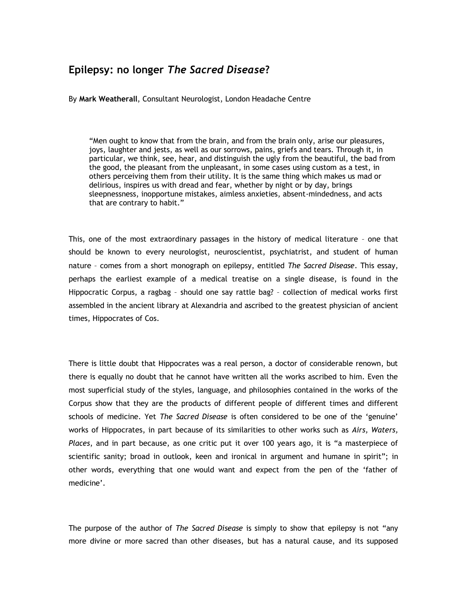## **Epilepsy: no longer** *The Sacred Disease***?**

By **Mark Weatherall**, Consultant Neurologist, London Headache Centre

"Men ought to know that from the brain, and from the brain only, arise our pleasures, joys, laughter and jests, as well as our sorrows, pains, griefs and tears. Through it, in particular, we think, see, hear, and distinguish the ugly from the beautiful, the bad from the good, the pleasant from the unpleasant, in some cases using custom as a test, in others perceiving them from their utility. It is the same thing which makes us mad or delirious, inspires us with dread and fear, whether by night or by day, brings sleepnessness, inopportune mistakes, aimless anxieties, absent-mindedness, and acts that are contrary to habit."

This, one of the most extraordinary passages in the history of medical literature – one that should be known to every neurologist, neuroscientist, psychiatrist, and student of human nature – comes from a short monograph on epilepsy, entitled *The Sacred Disease*. This essay, perhaps the earliest example of a medical treatise on a single disease, is found in the Hippocratic Corpus, a ragbag – should one say rattle bag? – collection of medical works first assembled in the ancient library at Alexandria and ascribed to the greatest physician of ancient times, Hippocrates of Cos.

There is little doubt that Hippocrates was a real person, a doctor of considerable renown, but there is equally no doubt that he cannot have written all the works ascribed to him. Even the most superficial study of the styles, language, and philosophies contained in the works of the Corpus show that they are the products of different people of different times and different schools of medicine. Yet *The Sacred Disease* is often considered to be one of the "genuine" works of Hippocrates, in part because of its similarities to other works such as *Airs, Waters, Places*, and in part because, as one critic put it over 100 years ago, it is "a masterpiece of scientific sanity; broad in outlook, keen and ironical in argument and humane in spirit"; in other words, everything that one would want and expect from the pen of the "father of medicine'.

The purpose of the author of *The Sacred Disease* is simply to show that epilepsy is not "any more divine or more sacred than other diseases, but has a natural cause, and its supposed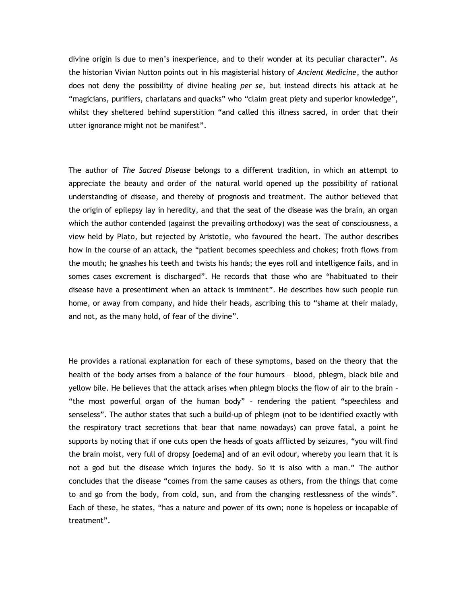divine origin is due to men"s inexperience, and to their wonder at its peculiar character". As the historian Vivian Nutton points out in his magisterial history of *Ancient Medicine*, the author does not deny the possibility of divine healing *per se*, but instead directs his attack at he "magicians, purifiers, charlatans and quacks" who "claim great piety and superior knowledge", whilst they sheltered behind superstition "and called this illness sacred, in order that their utter ignorance might not be manifest".

The author of *The Sacred Disease* belongs to a different tradition, in which an attempt to appreciate the beauty and order of the natural world opened up the possibility of rational understanding of disease, and thereby of prognosis and treatment. The author believed that the origin of epilepsy lay in heredity, and that the seat of the disease was the brain, an organ which the author contended (against the prevailing orthodoxy) was the seat of consciousness, a view held by Plato, but rejected by Aristotle, who favoured the heart. The author describes how in the course of an attack, the "patient becomes speechless and chokes; froth flows from the mouth; he gnashes his teeth and twists his hands; the eyes roll and intelligence fails, and in somes cases excrement is discharged". He records that those who are "habituated to their disease have a presentiment when an attack is imminent". He describes how such people run home, or away from company, and hide their heads, ascribing this to "shame at their malady, and not, as the many hold, of fear of the divine".

He provides a rational explanation for each of these symptoms, based on the theory that the health of the body arises from a balance of the four humours – blood, phlegm, black bile and yellow bile. He believes that the attack arises when phlegm blocks the flow of air to the brain – "the most powerful organ of the human body" – rendering the patient "speechless and senseless". The author states that such a build-up of phlegm (not to be identified exactly with the respiratory tract secretions that bear that name nowadays) can prove fatal, a point he supports by noting that if one cuts open the heads of goats afflicted by seizures, "you will find the brain moist, very full of dropsy [oedema] and of an evil odour, whereby you learn that it is not a god but the disease which injures the body. So it is also with a man." The author concludes that the disease "comes from the same causes as others, from the things that come to and go from the body, from cold, sun, and from the changing restlessness of the winds". Each of these, he states, "has a nature and power of its own; none is hopeless or incapable of treatment".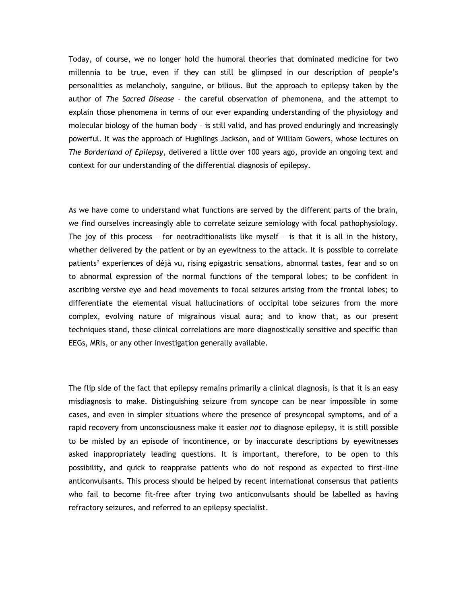Today, of course, we no longer hold the humoral theories that dominated medicine for two millennia to be true, even if they can still be glimpsed in our description of people"s personalities as melancholy, sanguine, or bilious. But the approach to epilepsy taken by the author of *The Sacred Disease* – the careful observation of phemonena, and the attempt to explain those phenomena in terms of our ever expanding understanding of the physiology and molecular biology of the human body – is still valid, and has proved enduringly and increasingly powerful. It was the approach of Hughlings Jackson, and of William Gowers, whose lectures on *The Borderland of Epilepsy*, delivered a little over 100 years ago, provide an ongoing text and context for our understanding of the differential diagnosis of epilepsy.

As we have come to understand what functions are served by the different parts of the brain, we find ourselves increasingly able to correlate seizure semiology with focal pathophysiology. The joy of this process – for neotraditionalists like myself – is that it is all in the history, whether delivered by the patient or by an eyewitness to the attack. It is possible to correlate patients" experiences of déjà vu, rising epigastric sensations, abnormal tastes, fear and so on to abnormal expression of the normal functions of the temporal lobes; to be confident in ascribing versive eye and head movements to focal seizures arising from the frontal lobes; to differentiate the elemental visual hallucinations of occipital lobe seizures from the more complex, evolving nature of migrainous visual aura; and to know that, as our present techniques stand, these clinical correlations are more diagnostically sensitive and specific than EEGs, MRIs, or any other investigation generally available.

The flip side of the fact that epilepsy remains primarily a clinical diagnosis, is that it is an easy misdiagnosis to make. Distinguishing seizure from syncope can be near impossible in some cases, and even in simpler situations where the presence of presyncopal symptoms, and of a rapid recovery from unconsciousness make it easier *not* to diagnose epilepsy, it is still possible to be misled by an episode of incontinence, or by inaccurate descriptions by eyewitnesses asked inappropriately leading questions. It is important, therefore, to be open to this possibility, and quick to reappraise patients who do not respond as expected to first-line anticonvulsants. This process should be helped by recent international consensus that patients who fail to become fit-free after trying two anticonvulsants should be labelled as having refractory seizures, and referred to an epilepsy specialist.